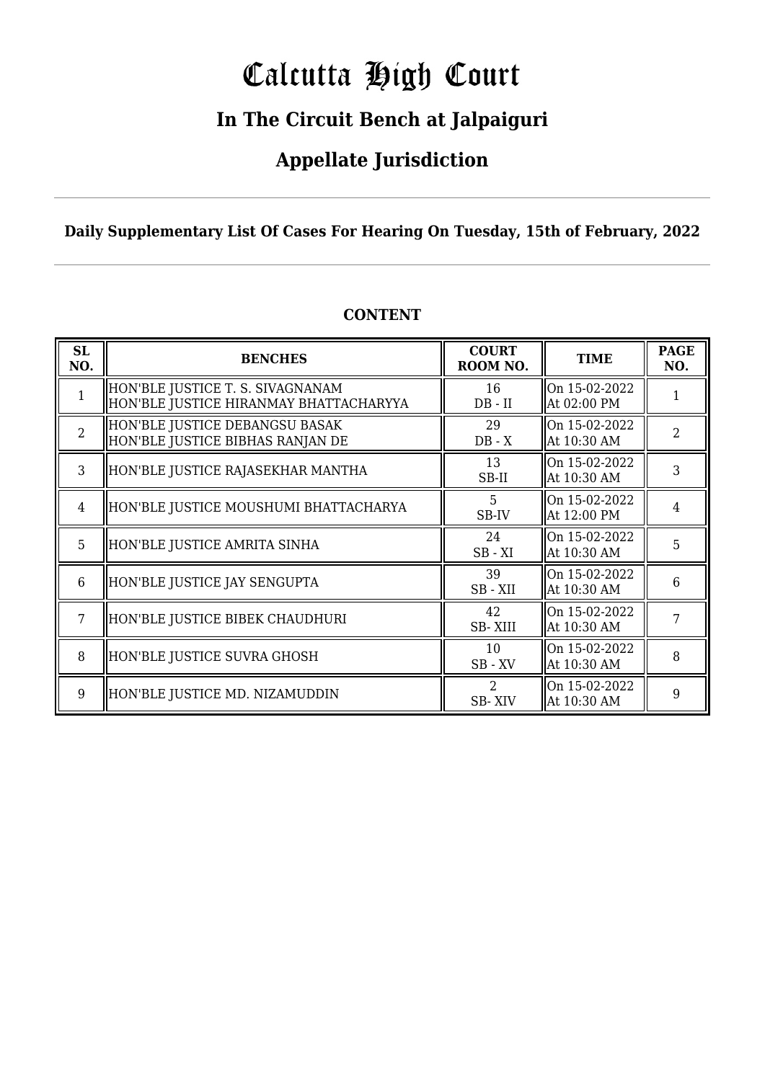# Calcutta High Court

### **In The Circuit Bench at Jalpaiguri**

### **Appellate Jurisdiction**

**Daily Supplementary List Of Cases For Hearing On Tuesday, 15th of February, 2022**

| <b>SL</b><br>NO. | <b>BENCHES</b>                                                             | <b>COURT</b><br>ROOM NO.                     | <b>TIME</b>                  | <b>PAGE</b><br>NO. |
|------------------|----------------------------------------------------------------------------|----------------------------------------------|------------------------------|--------------------|
| $\mathbf{1}$     | HON'BLE JUSTICE T. S. SIVAGNANAM<br>HON'BLE JUSTICE HIRANMAY BHATTACHARYYA | 16<br>$DB - II$                              | On 15-02-2022<br>At 02:00 PM |                    |
| $\overline{2}$   | HON'BLE JUSTICE DEBANGSU BASAK<br>HON'BLE JUSTICE BIBHAS RANJAN DE         | 29<br>$DB - X$                               | On 15-02-2022<br>At 10:30 AM | $\overline{2}$     |
| 3                | HON'BLE JUSTICE RAJASEKHAR MANTHA                                          | 13<br>SB-II                                  | On 15-02-2022<br>At 10:30 AM | 3                  |
| 4                | HON'BLE JUSTICE MOUSHUMI BHATTACHARYA                                      | 5<br>SB-IV                                   | On 15-02-2022<br>At 12:00 PM | 4                  |
| 5                | HON'BLE JUSTICE AMRITA SINHA                                               | 24<br>$SB - XI$                              | On 15-02-2022<br>At 10:30 AM | 5                  |
| 6                | HON'BLE JUSTICE JAY SENGUPTA                                               | 39<br>SB-XII                                 | On 15-02-2022<br>At 10:30 AM | 6                  |
|                  | HON'BLE JUSTICE BIBEK CHAUDHURI                                            | 42<br>SB-XIII                                | On 15-02-2022<br>At 10:30 AM | 7                  |
| 8                | HON'BLE JUSTICE SUVRA GHOSH                                                | 10<br>$SB$ - $XV$                            | On 15-02-2022<br>At 10:30 AM | 8                  |
| 9                | HON'BLE JUSTICE MD. NIZAMUDDIN                                             | $\mathcal{D}_{\mathcal{L}}$<br><b>SB-XIV</b> | On 15-02-2022<br>At 10:30 AM | 9                  |

### **CONTENT**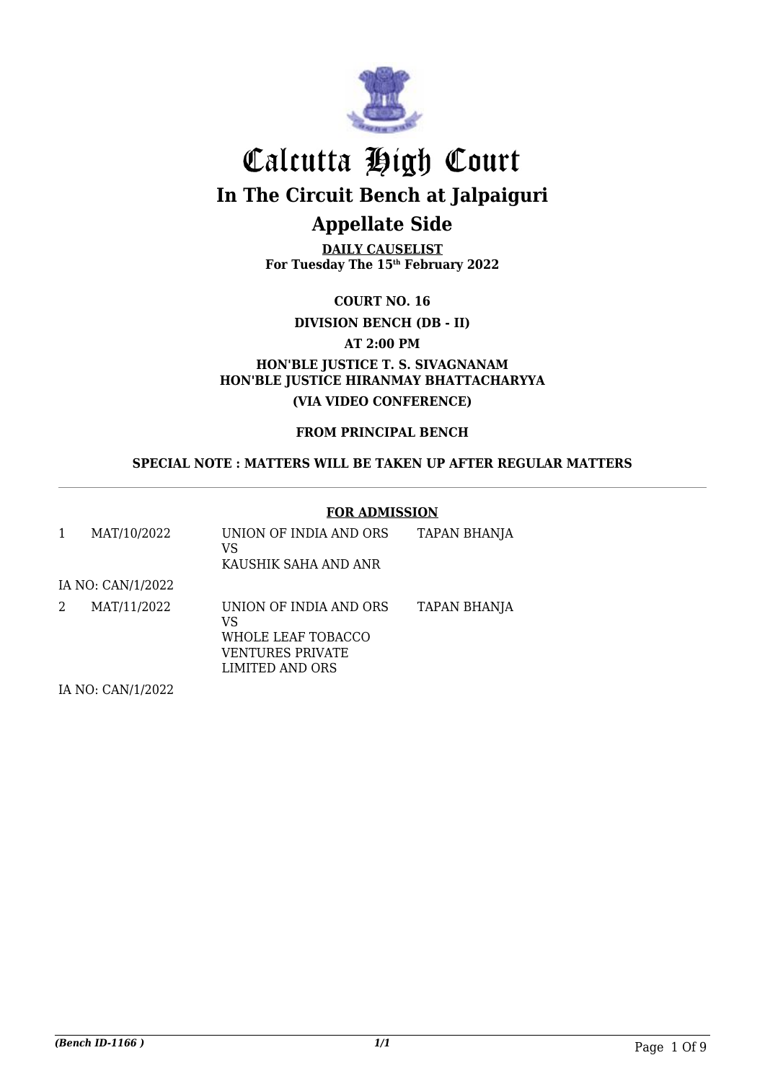

**DAILY CAUSELIST For Tuesday The 15th February 2022**

**COURT NO. 16**

**DIVISION BENCH (DB - II)**

**AT 2:00 PM**

**HON'BLE JUSTICE T. S. SIVAGNANAM HON'BLE JUSTICE HIRANMAY BHATTACHARYYA (VIA VIDEO CONFERENCE)**

**FROM PRINCIPAL BENCH**

**SPECIAL NOTE : MATTERS WILL BE TAKEN UP AFTER REGULAR MATTERS**

#### **FOR ADMISSION**

| 1 | MAT/10/2022                                                          | UNION OF INDIA AND ORS<br>VS<br>KAUSHIK SAHA AND ANR                                      | <b>TAPAN BHANJA</b> |
|---|----------------------------------------------------------------------|-------------------------------------------------------------------------------------------|---------------------|
|   | IA NO: CAN/1/2022                                                    |                                                                                           |                     |
| 2 | MAT/11/2022                                                          | UNION OF INDIA AND ORS<br>VS<br>WHOLE LEAF TOBACCO<br>VENTURES PRIVATE<br>LIMITED AND ORS | TAPAN BHANJA        |
|   | $H$ $\Lambda$ $D$ $\Lambda$ $\Lambda$ $H$ $H$ $P$ $\Lambda$ $\Omega$ |                                                                                           |                     |

IA NO: CAN/1/2022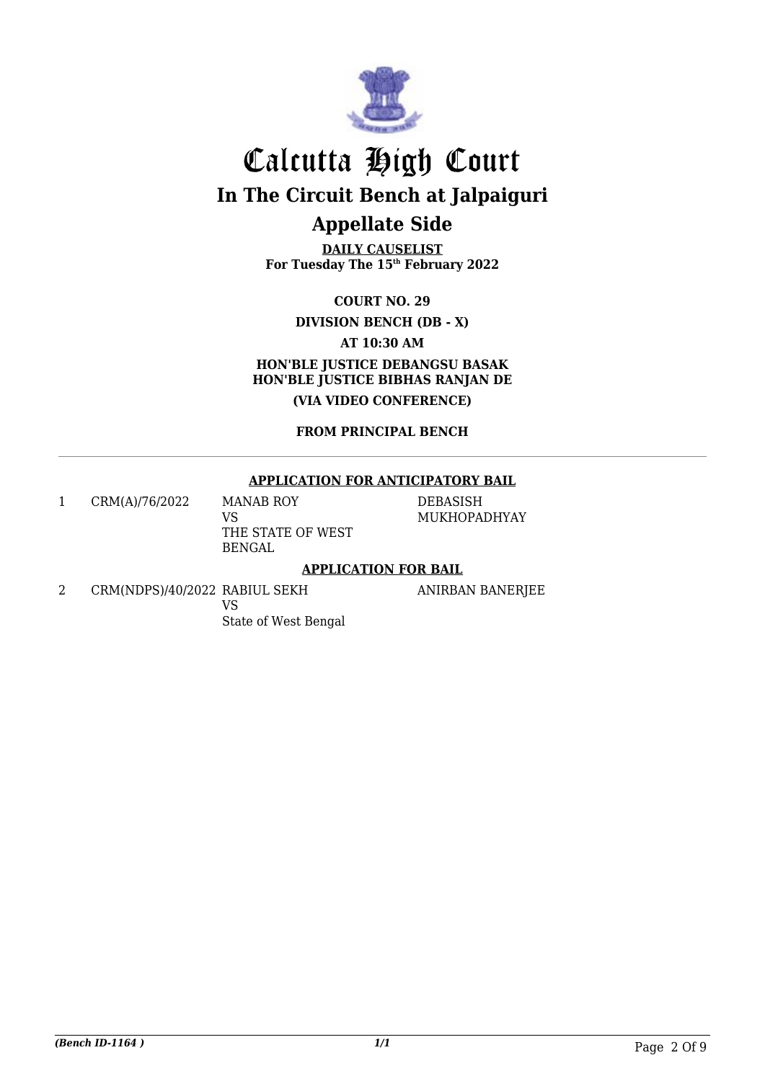

**DAILY CAUSELIST For Tuesday The 15th February 2022**

**COURT NO. 29**

**DIVISION BENCH (DB - X)**

**AT 10:30 AM**

**HON'BLE JUSTICE DEBANGSU BASAK HON'BLE JUSTICE BIBHAS RANJAN DE (VIA VIDEO CONFERENCE)**

**FROM PRINCIPAL BENCH**

#### **APPLICATION FOR ANTICIPATORY BAIL**

1 CRM(A)/76/2022 MANAB ROY VS THE STATE OF WEST BENGAL

DEBASISH MUKHOPADHYAY

#### **APPLICATION FOR BAIL**

2 CRM(NDPS)/40/2022 RABIUL SEKH VS State of West Bengal

ANIRBAN BANERJEE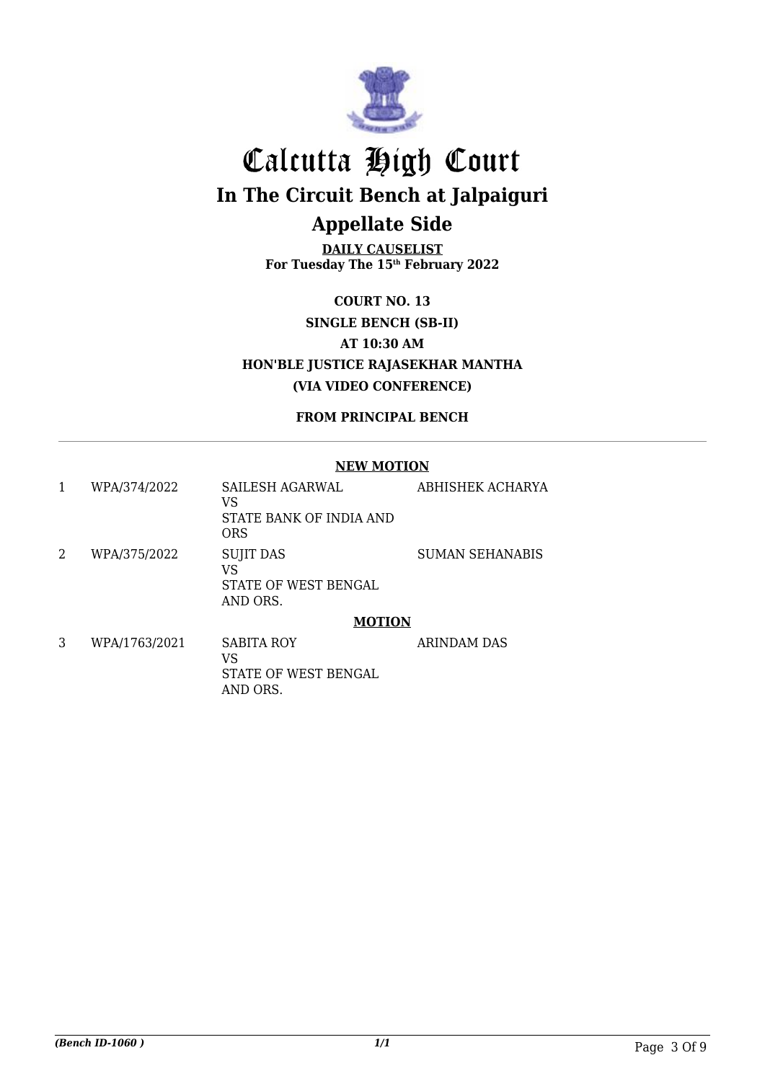

**DAILY CAUSELIST For Tuesday The 15th February 2022**

**COURT NO. 13 SINGLE BENCH (SB-II) AT 10:30 AM HON'BLE JUSTICE RAJASEKHAR MANTHA (VIA VIDEO CONFERENCE)**

**FROM PRINCIPAL BENCH**

#### **NEW MOTION**

| 1 | WPA/374/2022  | SAILESH AGARWAL<br>VS<br>STATE BANK OF INDIA AND           | <b>ABHISHEK ACHARYA</b> |
|---|---------------|------------------------------------------------------------|-------------------------|
|   |               | <b>ORS</b>                                                 |                         |
| 2 | WPA/375/2022  | <b>SUJIT DAS</b><br>VS<br>STATE OF WEST BENGAL<br>AND ORS. | <b>SUMAN SEHANABIS</b>  |
|   |               | <b>MOTION</b>                                              |                         |
| 3 | WPA/1763/2021 | <b>SABITA ROY</b><br>VS<br>STATE OF WEST BENGAL            | <b>ARINDAM DAS</b>      |

AND ORS.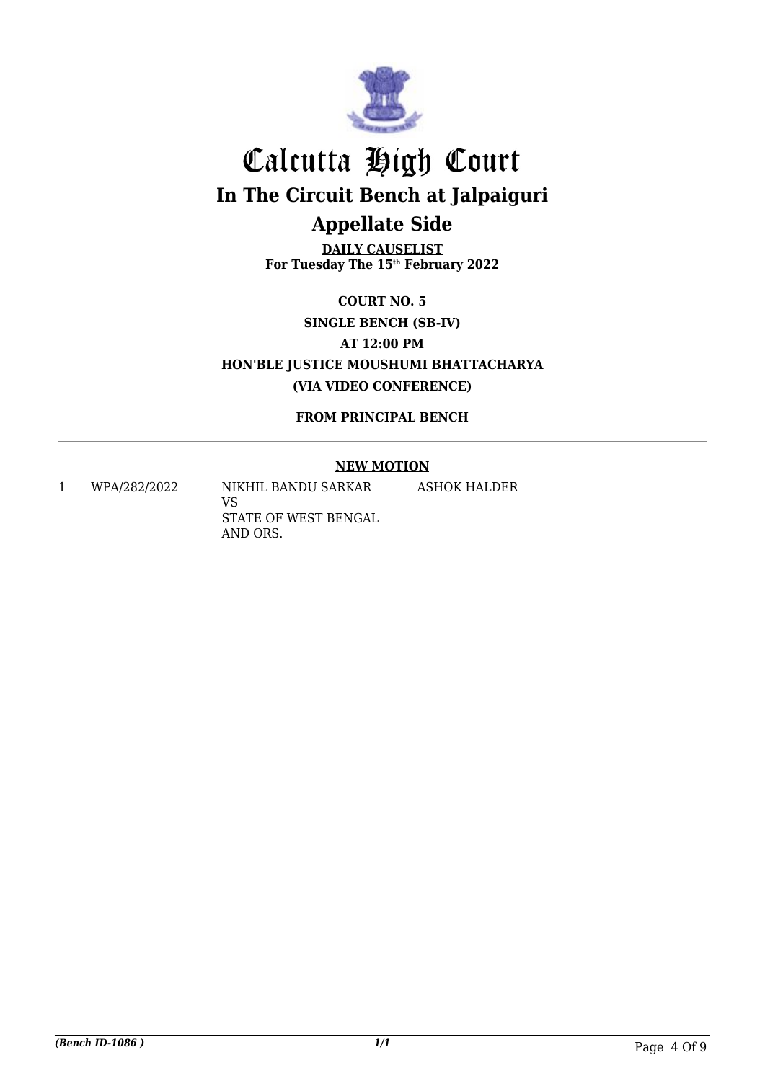

**DAILY CAUSELIST For Tuesday The 15th February 2022**

**COURT NO. 5 SINGLE BENCH (SB-IV) AT 12:00 PM HON'BLE JUSTICE MOUSHUMI BHATTACHARYA (VIA VIDEO CONFERENCE)**

**FROM PRINCIPAL BENCH**

### **NEW MOTION**

ASHOK HALDER

1 WPA/282/2022 NIKHIL BANDU SARKAR

VS STATE OF WEST BENGAL AND ORS.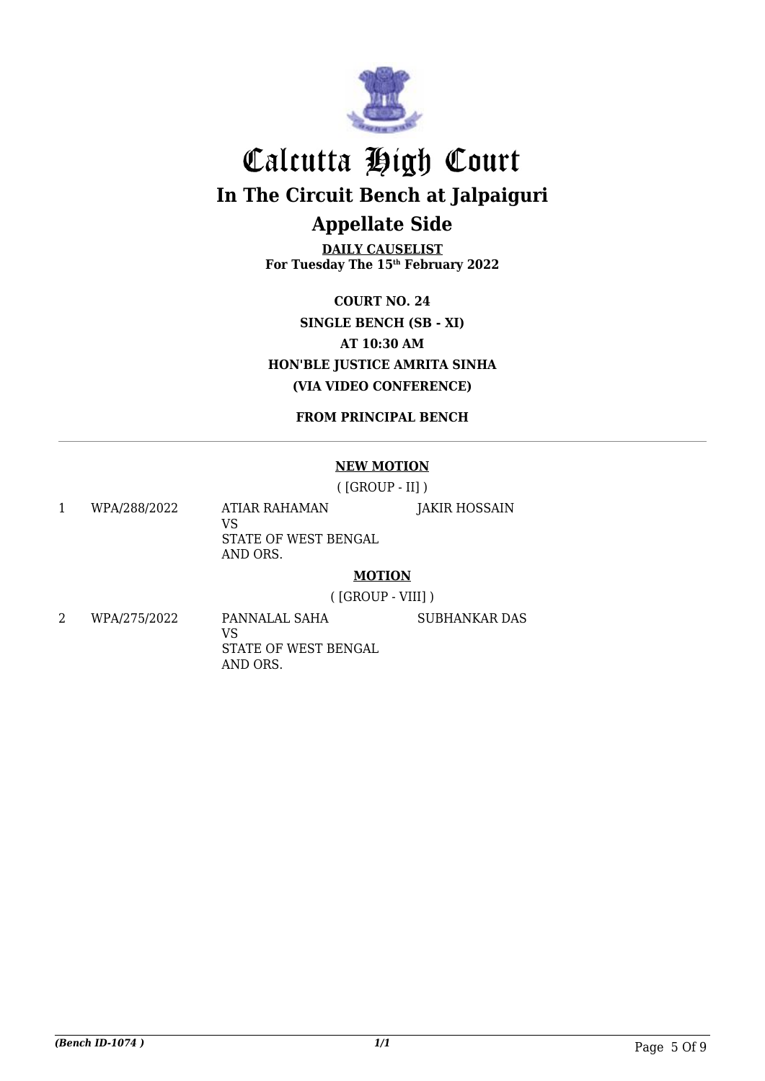

**DAILY CAUSELIST For Tuesday The 15th February 2022**

**COURT NO. 24 SINGLE BENCH (SB - XI) AT 10:30 AM HON'BLE JUSTICE AMRITA SINHA (VIA VIDEO CONFERENCE)**

**FROM PRINCIPAL BENCH**

#### **NEW MOTION**

( [GROUP - II] )

1 WPA/288/2022 ATIAR RAHAMAN VS STATE OF WEST BENGAL AND ORS. JAKIR HOSSAIN

#### **MOTION**

( [GROUP - VIII] )

SUBHANKAR DAS

2 WPA/275/2022 PANNALAL SAHA VS STATE OF WEST BENGAL AND ORS.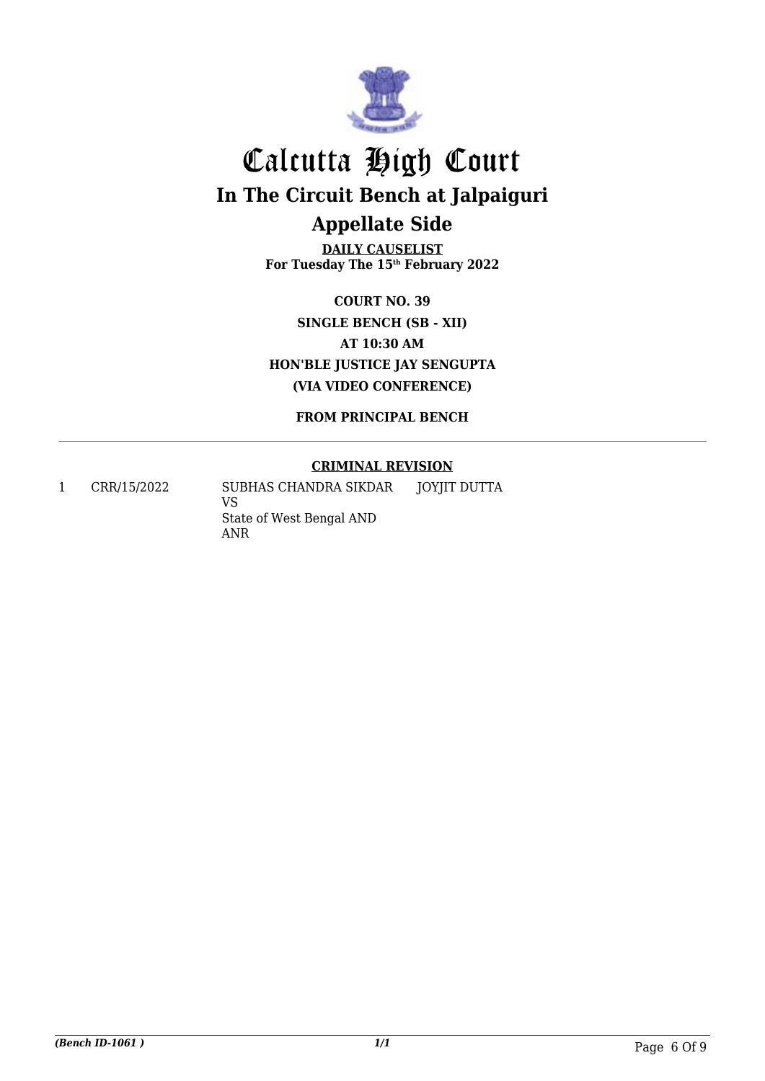

**DAILY CAUSELIST For Tuesday The 15th February 2022**

**COURT NO. 39 SINGLE BENCH (SB - XII) AT 10:30 AM HON'BLE JUSTICE JAY SENGUPTA (VIA VIDEO CONFERENCE)**

**FROM PRINCIPAL BENCH**

### **CRIMINAL REVISION**

1 CRR/15/2022 SUBHAS CHANDRA SIKDAR VS State of West Bengal AND ANR JOYJIT DUTTA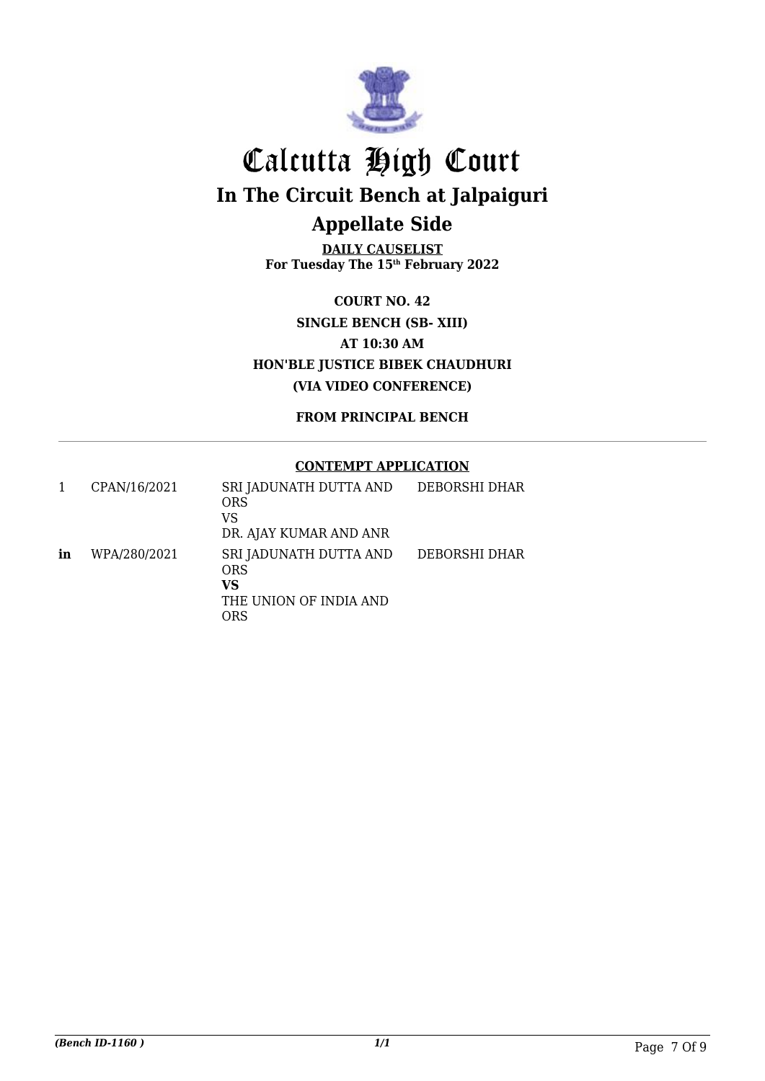

**DAILY CAUSELIST For Tuesday The 15th February 2022**

**COURT NO. 42 SINGLE BENCH (SB- XIII) AT 10:30 AM HON'BLE JUSTICE BIBEK CHAUDHURI (VIA VIDEO CONFERENCE)**

**FROM PRINCIPAL BENCH**

#### **CONTEMPT APPLICATION**

|    | CPAN/16/2021 | SRI JADUNATH DUTTA AND<br><b>ORS</b><br>VS<br>DR. AJAY KUMAR AND ANR | DEBORSHI DHAR |
|----|--------------|----------------------------------------------------------------------|---------------|
| in | WPA/280/2021 | SRI JADUNATH DUTTA AND<br>ORS<br>VS<br>THE UNION OF INDIA AND<br>ORS | DEBORSHI DHAR |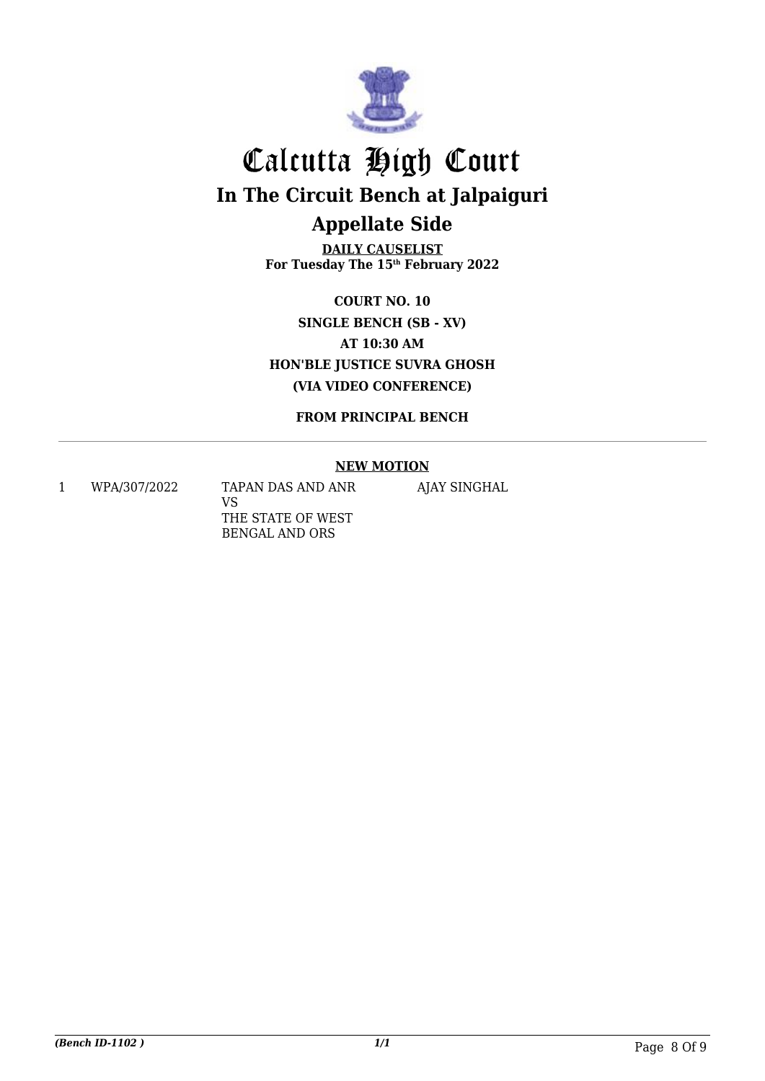

**DAILY CAUSELIST For Tuesday The 15th February 2022**

**COURT NO. 10 SINGLE BENCH (SB - XV) AT 10:30 AM HON'BLE JUSTICE SUVRA GHOSH (VIA VIDEO CONFERENCE)**

**FROM PRINCIPAL BENCH**

#### **NEW MOTION**

1 WPA/307/2022 TAPAN DAS AND ANR VS THE STATE OF WEST BENGAL AND ORS

AJAY SINGHAL